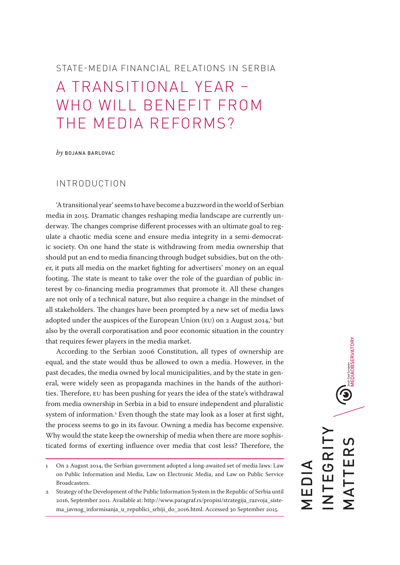# STATE-MEDIA FINANCIAL RELATIONS IN SERBIA A TRANSITIONAL YEAR – WHO WILL BENEFIT FROM THE MEDIA REFORMS?

*by* BOJANA BARLOVAC

### INTRODUCTION

'A transitional year' seems to have become a buzzword in the world of Serbian media in 2015. Dramatic changes reshaping media landscape are currently underway. The changes comprise different processes with an ultimate goal to regulate a chaotic media scene and ensure media integrity in a semi-democratic society. On one hand the state is withdrawing from media ownership that should put an end to media financing through budget subsidies, but on the other, it puts all media on the market fighting for advertisers' money on an equal footing. The state is meant to take over the role of the guardian of public interest by co-financing media programmes that promote it. All these changes are not only of a technical nature, but also require a change in the mindset of all stakeholders. The changes have been prompted by a new set of media laws adopted under the auspices of the European Union (EU) on 2 August 2014,<sup>1</sup> but also by the overall corporatisation and poor economic situation in the country that requires fewer players in the media market.

According to the Serbian 2006 Constitution, all types of ownership are equal, and the state would thus be allowed to own a media. However, in the past decades, the media owned by local municipalities, and by the state in general, were widely seen as propaganda machines in the hands of the authorities. Therefore, EU has been pushing for years the idea of the state's withdrawal from media ownership in Serbia in a bid to ensure independent and pluralistic system of information.2 Even though the state may look as a loser at first sight, the process seems to go in its favour. Owning a media has become expensive. Why would the state keep the ownership of media when there are more sophisticated forms of exerting influence over media that cost less? Therefore, the

 $\bigodot_{\text{smines through} \atop \text{MEDIAOBSERVATION}}$ INTEGRITY MATTERS NTEGRI TTER MEDIA .<br>Σ<br>Σ

<sup>1</sup> On 2 August 2014, the Serbian government adopted a long-awaited set of media laws: Law on Public Information and Media, Law on Electronic Media, and Law on Public Service **Broadcasters** 

<sup>2</sup> Strategy of the Development of the Public Information System in the Republic of Serbia until 2016, September 2011. Available at: http://www.paragraf.rs/propisi/strategija\_razvoja\_sistema\_javnog\_informisanja\_u\_republici\_srbiji\_do\_2016.html. Accessed 30 September 2015.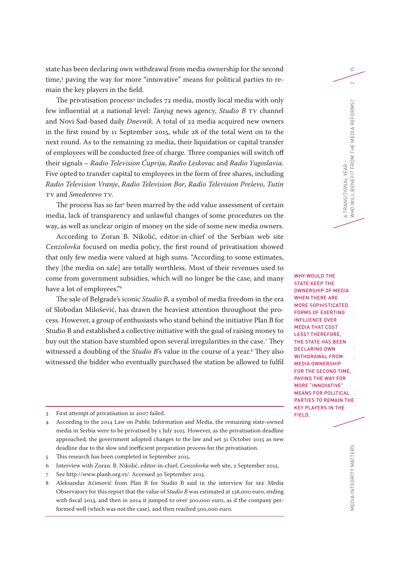state has been declaring own withdrawal from media ownership for the second time,3 paving the way for more "innovative" means for political parties to remain the key players in the field.

The privatisation process<sup>4</sup> includes 72 media, mostly local media with only few influential at a national level: *Tanjug* news agency, *Studio B* TV channel and Novi Sad-based daily *Dnevnik*. A total of 22 media acquired new owners in the first round by 11 September 2015, while 28 of the total went on to the next round. As to the remaining 22 media, their liquidation or capital transfer of employees will be conducted free of charge. Three companies will switch off their signals – *Radio Television Ćuprija*, *Radio Leskovac* and *Radio Yugoslavia*. Five opted to transfer capital to employees in the form of free shares, including *Radio Television Vranje*, *Radio Television Bor*, *Radio Television Preševo*, *Tutin* TV and *Smederevo* TV.

The process has so far<sup>s</sup> been marred by the odd value assessment of certain media, lack of transparency and unlawful changes of some procedures on the way, as well as unclear origin of money on the side of some new media owners.

According to Zoran B. Nikolić, editor-in-chief of the Serbian web site *Cenzolovka* focused on media policy, the first round of privatisation showed that only few media were valued at high sums. "According to some estimates, they [the media on sale] are totally worthless. Most of their revenues used to come from government subsidies, which will no longer be the case, and many have a lot of employees."6

The sale of Belgrade's iconic *Studio B*, a symbol of media freedom in the era of Slobodan Milošević, has drawn the heaviest attention throughout the process. However, a group of enthusiasts who stand behind the initiative Plan B for Studio B and established a collective initiative with the goal of raising money to buy out the station have stumbled upon several irregularities in the case.7 They witnessed a doubling of the *Studio B*'s value in the course of a year.<sup>8</sup> They also witnessed the bidder who eventually purchased the station be allowed to fulfil

3 First attempt of privatisation in 2007 failed.

- 5 This research has been completed in September 2015.
- 6 Interview with Zoran. B. Nikolić, editor-in-chief, *Cenzolovka* web site, 2 September 2015.
- 7 See http://www.planb.org.rs/. Accessed 30 September 2015.
- 8 Aleksandar Aćimović from Plan B for Studio B said in the interview for SEE Media Observatory for this report that the value of *Studio B* was estimated at 138,000 euro, ending with fiscal 2013, and then in 2014 it jumped to over 300,000 euro, as if the company performed well (which was not the case), and then reached 500,000 euro.

MEDIA INTEGRITY MATTERS STATE-MEDIA FINANCIAL RELATIONS IN SERBIA WHY WOULD THE STATE KEEP THE OWNERSHIP OF MEDIA WHEN THERE ARE MORE SOPHISTICATED FORMS OF EXERTING INFLUENCE OVER MEDIA THAT COST LESS? THEREFORE, THE STATE HAS BEEN DECLARING OWN WITHDRAWAL FROM MEDIA OWNERSHIP FOR THE SECOND TIME, PAVING THE WAY FOR MORE "INNOVATIVE" MEANS FOR POLITICAL PARTIES TO REMAIN THE KEY PLAYERS IN THE FIELD.

<sup>4</sup> According to the 2014 Law on Public Information and Media, the remaining state-owned media in Serbia were to be privatised by 1 July 2015. However, as the privatisation deadline approached, the government adopted changes to the law and set 31 October 2015 as new deadline due to the slow and inefficient preparation process for the privatisation.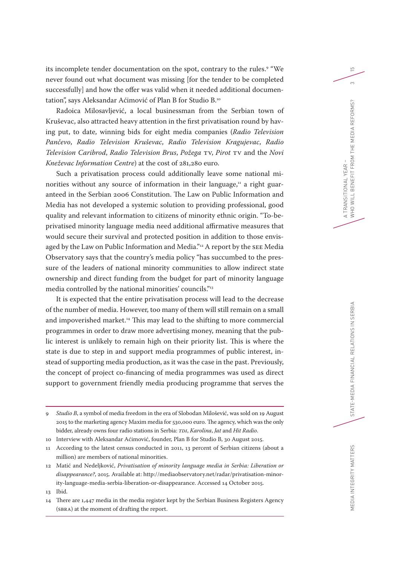its incomplete tender documentation on the spot, contrary to the rules. 9 "We never found out what document was missing [for the tender to be completed successfully] and how the offer was valid when it needed additional documentation", says Aleksandar Aćimović of Plan B for Studio B.10

Radoica Milosavljević, a local businessman from the Serbian town of Kruševac, also attracted heavy attention in the first privatisation round by having put, to date, winning bids for eight media companies (*Radio Television Pančevo*, *Radio Television Kruševac*, *Radio Television Kragujevac*, *Radio Television Caribrod*, *Radio Television Brus*, *Požega* TV, *Pirot* TV and the *Novi Kneževac Information Centre*) at the cost of 281,280 euro.

Such a privatisation process could additionally leave some national minorities without any source of information in their language, $<sup>11</sup>$  a right guar-</sup> anteed in the Serbian 2006 Constitution. The Law on Public Information and Media has not developed a systemic solution to providing professional, good quality and relevant information to citizens of minority ethnic origin. "To-beprivatised minority language media need additional affirmative measures that would secure their survival and protected position in addition to those envisaged by the Law on Public Information and Media."<sup>12</sup> A report by the SEE Media Observatory says that the country's media policy "has succumbed to the pressure of the leaders of national minority communities to allow indirect state ownership and direct funding from the budget for part of minority language media controlled by the national minorities' councils."13

It is expected that the entire privatisation process will lead to the decrease of the number of media. However, too many of them will still remain on a small and impoverished market.<sup>14</sup> This may lead to the shifting to more commercial programmes in order to draw more advertising money, meaning that the public interest is unlikely to remain high on their priority list. This is where the state is due to step in and support media programmes of public interest, instead of supporting media production, as it was the case in the past. Previously, the concept of project co-financing of media programmes was used as direct support to government friendly media producing programme that serves the

<sup>9</sup> *Studio B*, a symbol of media freedom in the era of Slobodan Milošević, was sold on 19 August 2015 to the marketing agency Maxim media for 530,000 euro. The agency, which was the only bidder, already owns four radio stations in Serbia: *TDI*, *Karolina*, *Jat* and *Hit Radio*.

<sup>10</sup> Interview with Aleksandar Aćimović, founder, Plan B for Studio B, 30 August 2015.

<sup>11</sup> According to the latest census conducted in 2011, 13 percent of Serbian citizens (about a million) are members of national minorities.

<sup>12</sup> Matić and Nedeljković, *Privatisation of minority language media in Serbia: Liberation or disappearance?*, 2015. Available at: http://mediaobservatory.net/radar/privatisation-minority-language-media-serbia-liberation-or-disappearance. Accessed 14 October 2015.

<sup>13</sup> Ibid.

<sup>14</sup> There are 1,447 media in the media register kept by the Serbian Business Registers Agency (SBRA) at the moment of drafting the report.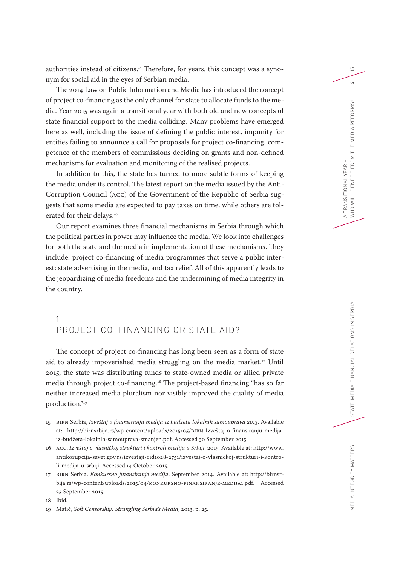authorities instead of citizens. 15 Therefore, for years, this concept was a synonym for social aid in the eyes of Serbian media.

The 2014 Law on Public Information and Media has introduced the concept of project co-financing as the only channel for state to allocate funds to the media. Year 2015 was again a transitional year with both old and new concepts of state financial support to the media colliding. Many problems have emerged here as well, including the issue of defining the public interest, impunity for entities failing to announce a call for proposals for project co-financing, competence of the members of commissions deciding on grants and non-defined mechanisms for evaluation and monitoring of the realised projects.

In addition to this, the state has turned to more subtle forms of keeping the media under its control. The latest report on the media issued by the Anti-Corruption Council (ACC) of the Government of the Republic of Serbia suggests that some media are expected to pay taxes on time, while others are tolerated for their delays.<sup>16</sup>

Our report examines three financial mechanisms in Serbia through which the political parties in power may influence the media. We look into challenges for both the state and the media in implementation of these mechanisms. They include: project co-financing of media programmes that serve a public interest; state advertising in the media, and tax relief. All of this apparently leads to the jeopardizing of media freedoms and the undermining of media integrity in the country.

## 1 PROJECT CO-FINANCING OR STATE AID?

The concept of project co-financing has long been seen as a form of state aid to already impoverished media struggling on the media market.<sup>17</sup> Until 2015, the state was distributing funds to state-owned media or allied private media through project co-financing.18 The project-based financing "has so far neither increased media pluralism nor visibly improved the quality of media production."19

18 Ibid.

<sup>15</sup> BIRN Serbia, *Izveštaj o finansiranju medija iz budžeta lokalnih samouprava 2013*. Available at: http://birnsrbija.rs/wp-content/uploads/2015/05/BIRN-Izveštaj-o-finansiranju-medijaiz-budžeta-lokalnih-samouprava-smanjen.pdf. Accessed 30 September 2015.

<sup>16</sup> ACC, *Izveštaj o vlasničkoj strukturi i kontroli medija u Srbiji*, 2015. Available at: http://www. antikorupcija-savet.gov.rs/izvestaji/cid1028-2751/izvestaj-o-vlasnickoj-strukturi-i-kontroli-medija-u-srbiji. Accessed 14 October 2015.

<sup>17</sup> BIRN Serbia, *Konkursno finansiranje medija*, September 2014. Available at: http://birnsrbija.rs/wp-content/uploads/2015/04/KONKURSNO-FINANSIRANJE-MEDIJA1.pdf. Accessed 25 September 2015.

<sup>19</sup> Matić, *Soft Censorship: Strangling Serbia's Media*, 2013, p. 25.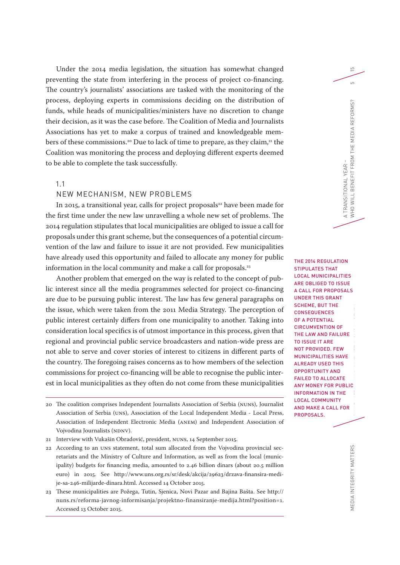Under the 2014 media legislation, the situation has somewhat changed preventing the state from interfering in the process of project co-financing. The country's journalists' associations are tasked with the monitoring of the process, deploying experts in commissions deciding on the distribution of funds, while heads of municipalities/ministers have no discretion to change their decision, as it was the case before. The Coalition of Media and Journalists Associations has yet to make a corpus of trained and knowledgeable members of these commissions.<sup>20</sup> Due to lack of time to prepare, as they claim,<sup>21</sup> the Coalition was monitoring the process and deploying different experts deemed to be able to complete the task successfully.

#### 1.1

#### NEW MECHANISM, NEW PROBLEMS

In 2015, a transitional year, calls for project proposals<sup>22</sup> have been made for the first time under the new law unravelling a whole new set of problems. The 2014 regulation stipulates that local municipalities are obliged to issue a call for proposals under this grant scheme, but the consequences of a potential circumvention of the law and failure to issue it are not provided. Few municipalities have already used this opportunity and failed to allocate any money for public information in the local community and make a call for proposals.<sup>23</sup>

Another problem that emerged on the way is related to the concept of public interest since all the media programmes selected for project co-financing are due to be pursuing public interest. The law has few general paragraphs on the issue, which were taken from the 2011 Media Strategy. The perception of public interest certainly differs from one municipality to another. Taking into consideration local specifics is of utmost importance in this process, given that regional and provincial public service broadcasters and nation-wide press are not able to serve and cover stories of interest to citizens in different parts of the country. The foregoing raises concerns as to how members of the selection commissions for project co-financing will be able to recognise the public interest in local municipalities as they often do not come from these municipalities

- 22 According to an UNS statement, total sum allocated from the Vojvodina provincial secretariats and the Ministry of Culture and Information, as well as from the local (municipality) budgets for financing media, amounted to 2.46 billion dinars (about 20.5 million euro) in 2015. See http://www.uns.org.rs/sr/desk/akcija/29623/drzava-finansira-medije-sa-246-milijarde-dinara.html. Accessed 14 October 2015.
- 23 These municipalities are Požega, Tutin, Sjenica, Novi Pazar and Bajina Bašta. See http:// nuns.rs/reforma-javnog-informisanja/projektno-finansiranje-medija.html?position=1. Accessed 13 October 2015.

MEDIA INTEGRITY MATTERS  $\blacksquare$ THE 2014 REGULATION STIPULATES THAT LOCAL MUNICIPALITIES ARE OBLIGED TO ISSUE A CALL FOR PROPOSALS UNDER THIS GRANT SCHEME, BUT THE **CONSEQUENCES** OF A POTENTIAL CIRCUMVENTION OF THE LAW AND FAILURE TO ISSUE IT ARE NOT PROVIDED. FEW MUNICIPALITIES HAVE ALREADY USED THIS OPPORTUNITY AND FAILED TO ALLOCATE ANY MONEY FOR PUBLIC INFORMATION IN THE LOCAL COMMUNITY AND MAKE A CALL FOR PROPOSALS.

MEDIA INTEGRITY MATTERS

A TRANSITIONAL YEAR –

WHO WILL BENEFIT FROM THE MEDIA REFORMS? 5

A TRANSITIONAL YEAR –<br>WHO WILL BENEFIT FROM THE MEDIA REFORMS?

 $\overline{5}$ 

<sup>20</sup> The coalition comprises Independent Journalists Association of Serbia (NUNS), Journalist Association of Serbia (UNS), Association of the Local Independent Media - Local Press, Association of Independent Electronic Media (ANEM) and Independent Association of Vojvodina Journalists (NDNV).

<sup>21</sup> Interview with Vukašin Obradović, president, NUNS, 14 September 2015.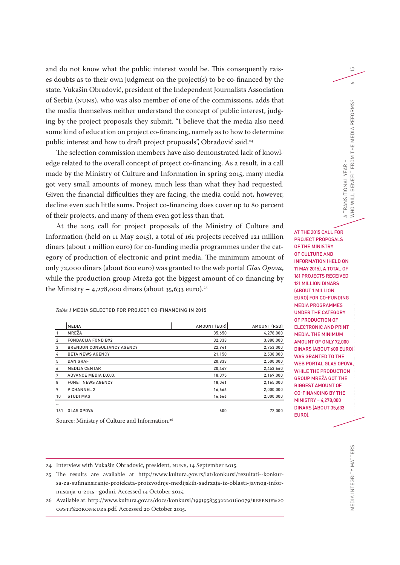and do not know what the public interest would be. This consequently raises doubts as to their own judgment on the project(s) to be co-financed by the state. Vukašin Obradović, president of the Independent Journalists Association of Serbia (NUNS), who was also member of one of the commissions, adds that the media themselves neither understand the concept of public interest, judging by the project proposals they submit. "I believe that the media also need some kind of education on project co-financing, namely as to how to determine public interest and how to draft project proposals", Obradović said.<sup>24</sup>

The selection commission members have also demonstrated lack of knowledge related to the overall concept of project co-financing. As a result, in a call made by the Ministry of Culture and Information in spring 2015, many media got very small amounts of money, much less than what they had requested. Given the financial difficulties they are facing, the media could not, however, decline even such little sums. Project co-financing does cover up to 80 percent of their projects, and many of them even got less than that.

At the 2015 call for project proposals of the Ministry of Culture and Information (held on 11 May 2015), a total of 161 projects received 121 million dinars (about 1 million euro) for co-funding media programmes under the category of production of electronic and print media. The minimum amount of only 72,000 dinars (about 600 euro) was granted to the web portal *Glas Opova*, while the production group Mreža got the biggest amount of co-financing by the Ministry – 4,278,000 dinars (about 35,633 euro).<sup>25</sup>

#### *Table 1* MEDIA SELECTED FOR PROJECT CO-FINANCING IN 2015

|          | <b>MEDIA</b>                      | AMOUNT (EUR) | AMOUNT (RSD) |
|----------|-----------------------------------|--------------|--------------|
|          | MREŽA                             | 35,650       | 4,278,000    |
| 2        | <b>FONDACIJA FOND B92</b>         | 32,333       | 3,880,000    |
| 3        | <b>BRENDON CONSULTANCY AGENCY</b> | 22,941       | 2,753,000    |
| 4        | <b>BETA NEWS AGENCY</b>           | 21,150       | 2,538,000    |
| 5        | <b>DAN GRAF</b>                   | 20,833       | 2,500,000    |
| 6        | <b>MEDIJA CENTAR</b>              | 20,447       | 2,453,660    |
| 7        | ADVANCE MEDIA D.O.O.              | 18,075       | 2,169,000    |
| 8        | <b>FONET NEWS AGENCY</b>          | 18,041       | 2,165,000    |
| 9        | P CHANNEL 2                       | 16,666       | 2,000,000    |
| 10       | <b>STUDI MAG</b>                  | 16,666       | 2,000,000    |
| $\cdots$ |                                   |              |              |
| 161      | <b>GLAS OPOVA</b>                 | 600          | 72.000       |

Source: Ministry of Culture and Information.<sup>26</sup>

WHO WILL BENEFIT FROM THE MEDIA REFORMS? 6 A TRANSITIONAL YEAR -<br>WHO WILL BENEFIT FROM THE MEDIA REFORMS? A TRANSITIONAL YEAR – AT THE 2015 CALL FOR PROJECT PROPOSALS OF THE MINISTRY OF CULTURE AND INFORMATION (HELD ON 11 MAY 2015), A TOTAL OF 161 PROJECTS RECEIVED 121 MILLION DINARS (ABOUT 1 MILLION EURO) FOR CO-FUNDING MEDIA PROGRAMMES MEDIA INTEGRITY MATTERS STATE STATE STATE RELATIONS IN SERIES STATES STATES IN SERIES SERVICES SERVICES SERVICES UNDER THE CATEGORY OF PRODUCTION OF ELECTRONIC AND PRINT MEDIA. THE MINIMUM AMOUNT OF ONLY 72,000 DINARS (ABOUT 600 EURO) WAS GRANTED TO THE WEB PORTAL GLAS OPOVA, WHILE THE PRODUCTION GROUP MREŽA GOT THE BIGGEST AMOUNT OF CO-FINANCING BY THE MINISTRY – 4,278,000 DINARS (ABOUT 35,633 EURO).

 $\overline{5}$ 

 $\sim$ 

24 Interview with Vukašin Obradović, president, NUNS, 14 September 2015.

25 The results are available at http://www.kultura.gov.rs/lat/konkursi/rezultati--konkursa-za-sufinansiranje-projekata-proizvodnje-medijskih-sadrzaja-iz-oblasti-javnog-informisanja-u-2015--godini. Accessed 14 October 2015.

26 Available at: http://www.kultura.gov.rs/docs/konkursi/19919583532220160079/RESENJE%20 OPSTI%20KONKURS.pdf. Accessed 20 October 2015.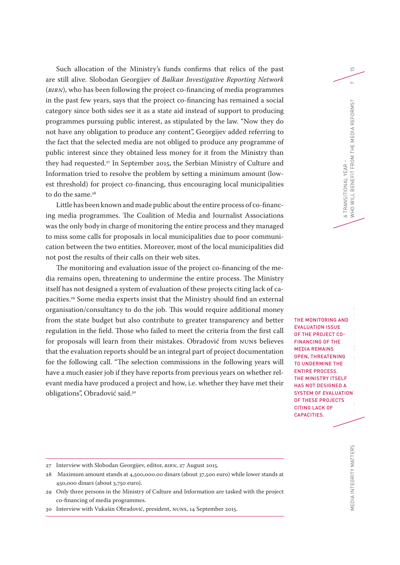Such allocation of the Ministry's funds confirms that relics of the past are still alive. Slobodan Georgijev of *Balkan Investigative Reporting Network* (*BIRN*), who has been following the project co-financing of media programmes in the past few years, says that the project co-financing has remained a social category since both sides see it as a state aid instead of support to producing programmes pursuing public interest, as stipulated by the law. "Now they do not have any obligation to produce any content", Georgijev added referring to the fact that the selected media are not obliged to produce any programme of public interest since they obtained less money for it from the Ministry than they had requested.<sup>27</sup> In September 2015, the Serbian Ministry of Culture and Information tried to resolve the problem by setting a minimum amount (lowest threshold) for project co-financing, thus encouraging local municipalities to do the same.<sup>28</sup>

Little has been known and made public about the entire process of co-financing media programmes. The Coalition of Media and Journalist Associations was the only body in charge of monitoring the entire process and they managed to miss some calls for proposals in local municipalities due to poor communication between the two entities. Moreover, most of the local municipalities did not post the results of their calls on their web sites.

The monitoring and evaluation issue of the project co-financing of the media remains open, threatening to undermine the entire process. The Ministry itself has not designed a system of evaluation of these projects citing lack of capacities.29 Some media experts insist that the Ministry should find an external organisation/consultancy to do the job. This would require additional money from the state budget but also contribute to greater transparency and better regulation in the field. Those who failed to meet the criteria from the first call for proposals will learn from their mistakes. Obradović from NUNS believes that the evaluation reports should be an integral part of project documentation for the following call. "The selection commissions in the following years will have a much easier job if they have reports from previous years on whether relevant media have produced a project and how, i.e. whether they have met their obligations", Obradović said.30

MEDIA INTEGRITY MATTERS  $\blacksquare$ THE MONITORING AND EVALUATION ISSUE OF THE PROJECT CO-FINANCING OF THE MEDIA REMAINS OPEN, THREATENING TO UNDERMINE THE ENTIRE PROCESS. THE MINISTRY ITSELF HAS NOT DESIGNED A SYSTEM OF EVALUATION OF THESE PROJECTS CITING LACK OF CAPACITIES.

A TRANSITIONAL YEAR –

WHO WILL BENEFIT FROM THE MEDIA REFORMS? 7

A TRANSITIONAL YEAR -<br>WHO WILL BENEFIT FROM THE MEDIA REFORMS?

 $\overline{5}$ 

 $\sim$ 

<sup>27</sup> Interview with Slobodan Georgijev, editor, *BIRN*, 27 August 2015.

<sup>28</sup> Maximum amount stands at 4,500,000.00 dinars (about 37,500 euro) while lower stands at 450,000 dinars (about 3,750 euro).

<sup>29</sup> Only three persons in the Ministry of Culture and Information are tasked with the project co-financing of media programmes.

<sup>30</sup> Interview with Vukašin Obradović, president, NUNS, 14 September 2015.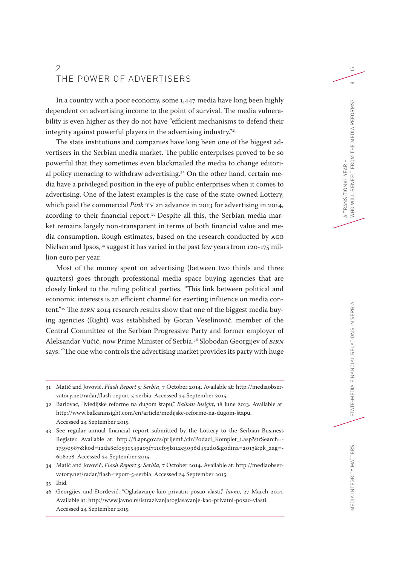## 2 THE POWER OF ADVERTISERS

In a country with a poor economy, some 1,447 media have long been highly dependent on advertising income to the point of survival. The media vulnerability is even higher as they do not have "efficient mechanisms to defend their integrity against powerful players in the advertising industry."31

The state institutions and companies have long been one of the biggest advertisers in the Serbian media market. The public enterprises proved to be so powerful that they sometimes even blackmailed the media to change editorial policy menacing to withdraw advertising.<sup>32</sup> On the other hand, certain media have a privileged position in the eye of public enterprises when it comes to advertising. One of the latest examples is the case of the state-owned Lottery, which paid the commercial *Pink* TV an advance in 2013 for advertising in 2014, acording to their financial report.33 Despite all this, the Serbian media market remains largely non-transparent in terms of both financial value and media consumption. Rough estimates, based on the research conducted by AGB Nielsen and Ipsos,<sup>34</sup> suggest it has varied in the past few years from 120-175 million euro per year.

Most of the money spent on advertising (between two thirds and three quarters) goes through professional media space buying agencies that are closely linked to the ruling political parties. "This link between political and economic interests is an efficient channel for exerting influence on media content."35 The *BIRN* 2014 research results show that one of the biggest media buying agencies (Right) was established by Goran Veselinović, member of the Central Committee of the Serbian Progressive Party and former employer of Aleksandar Vučić, now Prime Minister of Serbia.36 Slobodan Georgijev of *BIRN* says: "The one who controls the advertising market provides its party with huge

<sup>31</sup> Matić and Jovović, *Flash Report 5: Serbia*, 7 October 2014. Available at: http://mediaobservatory.net/radar/flash-report-5-serbia. Accessed 24 September 2015.

<sup>32</sup> Barlovac, "Medijske reforme na dugom štapu," *Balkan Insight*, 18 June 2013. Available at: http://www.balkaninsight.com/en/article/medijske-reforme-na-dugom-štapu. Accessed 24 September 2015.

<sup>33</sup> See regular annual financial report submitted by the Lottery to the Serbian Business Register. Available at: http://fi.apr.gov.rs/prijemfi/cir/Podaci\_Komplet\_1.asp?strSearch=- 17590987&kod=12da8cf059c549a03f711cf95b112e5096d452d0&godina=2013&pk\_zag=- 608228. Accessed 24 September 2015.

<sup>34</sup> Matić and Jovović, *Flash Report 5: Serbia*, 7 October 2014. Available at: http://mediaobservatory.net/radar/flash-report-5-serbia. Accessed 24 September 2015.

<sup>35</sup> Ibid.

<sup>36</sup> Georgijev and Đorđević, "Oglašavanje kao privatni posao vlasti," *Javno*, 27 March 2014. Available at: http://www.javno.rs/istrazivanja/oglasavanje-kao-privatni-posao-vlasti. Accessed 24 September 2015.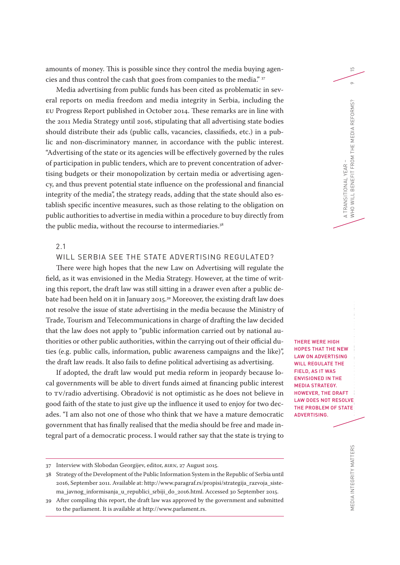amounts of money. This is possible since they control the media buying agencies and thus control the cash that goes from companies to the media." 37

Media advertising from public funds has been cited as problematic in several reports on media freedom and media integrity in Serbia, including the EU Progress Report published in October 2014. These remarks are in line with the 2011 Media Strategy until 2016, stipulating that all advertising state bodies should distribute their ads (public calls, vacancies, classifieds, etc.) in a public and non-discriminatory manner, in accordance with the public interest. "Advertising of the state or its agencies will be effectively governed by the rules of participation in public tenders, which are to prevent concentration of advertising budgets or their monopolization by certain media or advertising agency, and thus prevent potential state influence on the professional and financial integrity of the media", the strategy reads, adding that the state should also establish specific incentive measures, such as those relating to the obligation on public authorities to advertise in media within a procedure to buy directly from the public media, without the recourse to intermediaries.<sup>38</sup>

#### 2.1

#### WILL SERBIA SEE THE STATE ADVERTISING REGULATED?

There were high hopes that the new Law on Advertising will regulate the field, as it was envisioned in the Media Strategy. However, at the time of writing this report, the draft law was still sitting in a drawer even after a public debate had been held on it in January 2015.39 Moreover, the existing draft law does not resolve the issue of state advertising in the media because the Ministry of Trade, Tourism and Telecommunications in charge of drafting the law decided that the law does not apply to "public information carried out by national authorities or other public authorities, within the carrying out of their official duties (e.g. public calls, information, public awareness campaigns and the like)", the draft law reads. It also fails to define political advertising as advertising.

If adopted, the draft law would put media reform in jeopardy because local governments will be able to divert funds aimed at financing public interest to TV/radio advertising. Obradović is not optimistic as he does not believe in good faith of the state to just give up the influence it used to enjoy for two decades. "I am also not one of those who think that we have a mature democratic government that has finally realised that the media should be free and made integral part of a democratic process. I would rather say that the state is trying to

37 Interview with Slobodan Georgijev, editor, *BIRN*, 27 August 2015.

MEDIA INTEGRITY MATTERS STATE-MEDIA FINANCIAL RELATIONS IN SERBIA THERE WERE HIGH HOPES THAT THE NEW LAW ON ADVERTISING WILL REGULATE THE FIELD, AS IT WAS ENVISIONED IN THE MEDIA STRATEGY. HOWEVER, THE DRAFT LAW DOES NOT RESOLVE THE PROBLEM OF STATE ADVERTISING.

A TRANSITIONAL YEAR –

WHO WILL BENEFIT FROM THE MEDIA REFORMS? 9

A TRANSITIONAL YEAR -<br>WHO WILL BENEFIT FROM THE MEDIA REFORMS?

 $\overline{D}$ 

 $\sigma$ 

<sup>38</sup> Strategy of the Development of the Public Information System in the Republic of Serbia until 2016, September 2011. Available at: http://www.paragraf.rs/propisi/strategija\_razvoja\_sistema\_javnog\_informisanja\_u\_republici\_srbiji\_do\_2016.html. Accessed 30 September 2015.

<sup>39</sup> After compiling this report, the draft law was approved by the government and submitted to the parliament. It is available at http://www.parlament.rs.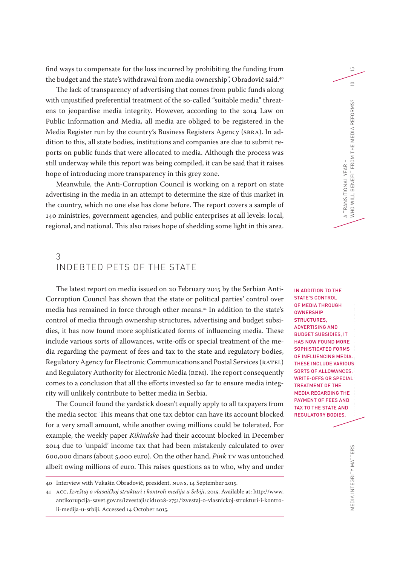find ways to compensate for the loss incurred by prohibiting the funding from the budget and the state's withdrawal from media ownership", Obradović said.<sup>40</sup>

The lack of transparency of advertising that comes from public funds along with unjustified preferential treatment of the so-called "suitable media" threatens to jeopardise media integrity. However, according to the 2014 Law on Public Information and Media, all media are obliged to be registered in the Media Register run by the country's Business Registers Agency (SBRA). In addition to this, all state bodies, institutions and companies are due to submit reports on public funds that were allocated to media. Although the process was still underway while this report was being compiled, it can be said that it raises hope of introducing more transparency in this grey zone.

Meanwhile, the Anti-Corruption Council is working on a report on state advertising in the media in an attempt to determine the size of this market in the country, which no one else has done before. The report covers a sample of 140 ministries, government agencies, and public enterprises at all levels: local, regional, and national. This also raises hope of shedding some light in this area.

## 3 INDEBTED PETS OF THE STATE

The latest report on media issued on 20 February 2015 by the Serbian Anti-Corruption Council has shown that the state or political parties' control over media has remained in force through other means.<sup>41</sup> In addition to the state's control of media through ownership structures, advertising and budget subsidies, it has now found more sophisticated forms of influencing media. These include various sorts of allowances, write-offs or special treatment of the media regarding the payment of fees and tax to the state and regulatory bodies, Regulatory Agency for Electronic Communications and Postal Services (RATEL) and Regulatory Authority for Electronic Media (REM). The report consequently comes to a conclusion that all the efforts invested so far to ensure media integrity will unlikely contribute to better media in Serbia.

The Council found the yardstick doesn't equally apply to all taxpayers from the media sector. This means that one tax debtor can have its account blocked for a very small amount, while another owing millions could be tolerated. For example, the weekly paper *Kikindske* had their account blocked in December 2014 due to 'unpaid' income tax that had been mistakenly calculated to over 600,000 dinars (about 5,000 euro). On the other hand, *Pink* TV was untouched albeit owing millions of euro. This raises questions as to who, why and under

MEDIA INTEGRITY MATTERS STATE-MEDIA FINANCIAL RELATIONS IN SERIES IN ADDITION TO THE STATE'S CONTROL OF MEDIA THROUGH **OWNERSHIP** STRUCTURES, ADVERTISING AND BUDGET SUBSIDIES, IT HAS NOW FOUND MORE SOPHISTICATED FORMS OF INFLUENCING MEDIA. THESE INCLUDE VARIOUS SORTS OF ALLOWANCES, WRITE-OFFS OR SPECIAL TREATMENT OF THE MEDIA REGARDING THE PAYMENT OF FEES AND TAX TO THE STATE AND REGULATORY BODIES.

A TRANSITIONAL YEAR –

WHO WILL BENEFIT FROM THE MEDIA REFORMS? 10

A TRANSITIONAL YEAR -<br>WHO WILL BENEFIT FROM THE MEDIA REFORMS?

 $\overline{5}$ 

 $\supseteq$ 

<sup>40</sup> Interview with Vukašin Obradović, president, NUNS, 14 September 2015.

<sup>41</sup> ACC, *Izveštaj o vlasničkoj strukturi i kontroli medija u Srbiji*, 2015. Available at: http://www. antikorupcija-savet.gov.rs/izvestaji/cid1028-2751/izvestaj-o-vlasnickoj-strukturi-i-kontroli-medija-u-srbiji. Accessed 14 October 2015.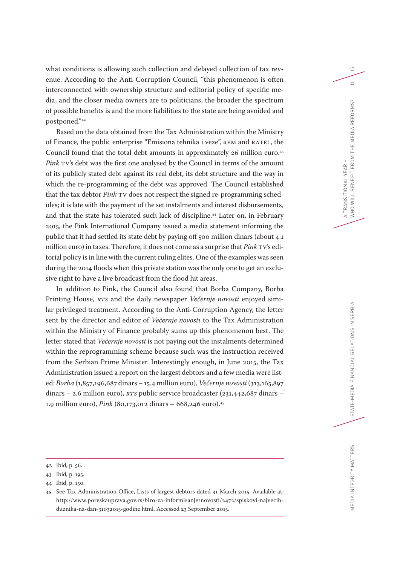what conditions is allowing such collection and delayed collection of tax revenue. According to the Anti-Corruption Council, "this phenomenon is often interconnected with ownership structure and editorial policy of specific media, and the closer media owners are to politicians, the broader the spectrum of possible benefits is and the more liabilities to the state are being avoided and postponed."42

Based on the data obtained from the Tax Administration within the Ministry of Finance, the public enterprise "Emisiona tehnika i veze", REM and RATEL, the Council found that the total debt amounts in approximately 26 million euro.<sup>43</sup> *Pink* TV's debt was the first one analysed by the Council in terms of the amount of its publicly stated debt against its real debt, its debt structure and the way in which the re-programming of the debt was approved. The Council established that the tax debtor *Pink* TV does not respect the signed re-programming schedules; it is late with the payment of the set instalments and interest disbursements, and that the state has tolerated such lack of discipline.<sup>44</sup> Later on, in February 2015, the Pink International Company issued a media statement informing the public that it had settled its state debt by paying off 500 million dinars (about 4.1 million euro) in taxes. Therefore, it does not come as a surprise that *Pink* TV's editorial policy is in line with the current ruling elites. One of the examples was seen during the 2014 floods when this private station was the only one to get an exclusive right to have a live broadcast from the flood hit areas.

In addition to Pink, the Council also found that Borba Company, Borba Printing House, *RTS* and the daily newspaper *Večernje novosti* enjoyed similar privileged treatment. According to the Anti-Corruption Agency, the letter sent by the director and editor of *Večernje novosti* to the Tax Administration within the Ministry of Finance probably sums up this phenomenon best. The letter stated that *Večernje novosti* is not paying out the instalments determined within the reprogramming scheme because such was the instruction received from the Serbian Prime Minister. Interestingly enough, in June 2015, the Tax Administration issued a report on the largest debtors and a few media were listed: *Borba* (1,857,196,687 dinars – 15.4 million euro), *Večernje novosti* (313,165,897 dinars – 2.6 million euro), *RTS* public service broadcaster (231,442,687 dinars – 1.9 million euro), *Pink* (80,173,012 dinars – 668,246 euro).45

<sup>42</sup> Ibid, p. 56.

<sup>43</sup> Ibid, p. 195.

<sup>44</sup> Ibid, p. 150.

<sup>45</sup> See Tax Administration Office, Lists of largest debtors dated 31 March 2015. Available at: http://www.poreskauprava.gov.rs/biro-za-informisanje/novosti/2472/spiskovi-najvecihduznika-na-dan-31032015-godine.html. Accessed 23 September 2015.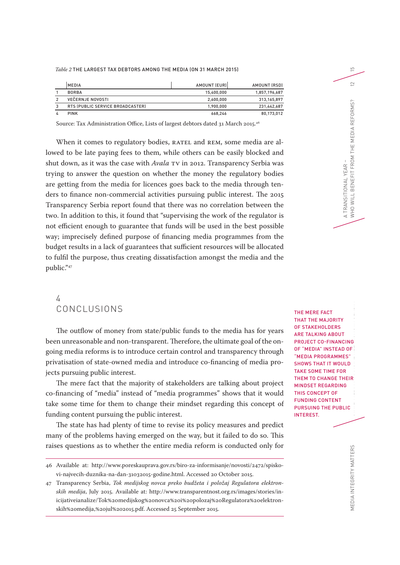*Table 2* THE LARGEST TAX DEBTORS AMONG THE MEDIA (ON 31 MARCH 2015)

| <b>IMEDIA</b>                    | AMOUNT (EUR) | AMOUNT (RSD)  |
|----------------------------------|--------------|---------------|
| <b>BORBA</b>                     | 15.400.000   | 1,857,196,687 |
| VEČERNJE NOVOSTI                 | 2.600.000    | 313,165,897   |
| RTS (PUBLIC SERVICE BROADCASTER) | 1.900.000    | 231.442.687   |
| <b>PINK</b>                      | 668.246      | 80,173,012    |

Source: Tax Administration Office, Lists of largest debtors dated 31 March 2015.<sup>46</sup>

When it comes to regulatory bodies, RATEL and REM, some media are allowed to be late paying fees to them, while others can be easily blocked and shut down, as it was the case with *Avala* TV in 2012. Transparency Serbia was trying to answer the question on whether the money the regulatory bodies are getting from the media for licences goes back to the media through tenders to finance non-commercial activities pursuing public interest. The 2015 Transparency Serbia report found that there was no correlation between the two. In addition to this, it found that "supervising the work of the regulator is not efficient enough to guarantee that funds will be used in the best possible way; imprecisely defined purpose of financing media programmes from the budget results in a lack of guarantees that sufficient resources will be allocated to fulfil the purpose, thus creating dissatisfaction amongst the media and the public."47

## 4 CONCLUSIONS

The outflow of money from state/public funds to the media has for years been unreasonable and non-transparent. Therefore, the ultimate goal of the ongoing media reforms is to introduce certain control and transparency through privatisation of state-owned media and introduce co-financing of media projects pursuing public interest.

The mere fact that the majority of stakeholders are talking about project co-financing of "media" instead of "media programmes" shows that it would take some time for them to change their mindset regarding this concept of funding content pursuing the public interest.

The state has had plenty of time to revise its policy measures and predict many of the problems having emerged on the way, but it failed to do so. This raises questions as to whether the entire media reform is conducted only for

MEDIA INTEGRITY MATTERS STATE-MEDIA INTEGRITY WAT IN SERIES THE MERE FACT THAT THE MAJORITY OF STAKEHOLDERS ARE TALKING ABOUT PROJECT CO-FINANCING OF "MEDIA" INSTEAD OF "MEDIA PROGRAMMES" SHOWS THAT IT WOULD TAKE SOME TIME FOR THEM TO CHANGE THEIR MINDSET REGARDING THIS CONCEPT OF FUNDING CONTENT PURSUING THE PUBLIC INTEREST.

A TRANSITIONAL YEAR –

 $\overline{D}$ 

 $\supseteq$ 

<sup>46</sup> Available at: http://www.poreskauprava.gov.rs/biro-za-informisanje/novosti/2472/spiskovi-najvecih-duznika-na-dan-31032015-godine.html. Accessed 20 October 2015.

<sup>47</sup> Transparency Serbia, *Tok medijskog novca preko budžeta i položaj Regulatora elektronskih medija*, July 2015. Available at: http://www.transparentnost.org.rs/images/stories/inicijativeianalize/Tok%20medijskog%20novca%20i%20polozaj%20Regulatora%20elektronskih%20medija,%20jul%202015.pdf. Accessed 25 September 2015.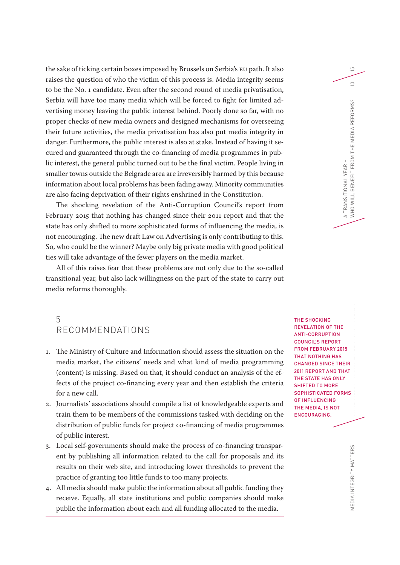the sake of ticking certain boxes imposed by Brussels on Serbia's EU path. It also raises the question of who the victim of this process is. Media integrity seems to be the No. 1 candidate. Even after the second round of media privatisation, Serbia will have too many media which will be forced to fight for limited advertising money leaving the public interest behind. Poorly done so far, with no proper checks of new media owners and designed mechanisms for overseeing their future activities, the media privatisation has also put media integrity in danger. Furthermore, the public interest is also at stake. Instead of having it secured and guaranteed through the co-financing of media programmes in public interest, the general public turned out to be the final victim. People living in smaller towns outside the Belgrade area are irreversibly harmed by this because information about local problems has been fading away. Minority communities are also facing deprivation of their rights enshrined in the Constitution.

The shocking revelation of the Anti-Corruption Council's report from February 2015 that nothing has changed since their 2011 report and that the state has only shifted to more sophisticated forms of influencing the media, is not encouraging. The new draft Law on Advertising is only contributing to this. So, who could be the winner? Maybe only big private media with good political ties will take advantage of the fewer players on the media market.

All of this raises fear that these problems are not only due to the so-called transitional year, but also lack willingness on the part of the state to carry out media reforms thoroughly.

## 5 RECOMMENDATIONS

- 1. The Ministry of Culture and Information should assess the situation on the media market, the citizens' needs and what kind of media programming (content) is missing. Based on that, it should conduct an analysis of the effects of the project co-financing every year and then establish the criteria for a new call.
- 2. Journalists' associations should compile a list of knowledgeable experts and train them to be members of the commissions tasked with deciding on the distribution of public funds for project co-financing of media programmes of public interest.
- 3. Local self-governments should make the process of co-financing transparent by publishing all information related to the call for proposals and its results on their web site, and introducing lower thresholds to prevent the practice of granting too little funds to too many projects.
- 4. All media should make public the information about all public funding they receive. Equally, all state institutions and public companies should make public the information about each and all funding allocated to the media.

THE SHOCKING REVELATION OF THE ANTI-CORRUPTION COUNCIL'S REPORT FROM FEBRUARY 2015 THAT NOTHING HAS CHANGED SINCE THEIR 2011 REPORT AND THAT THE STATE HAS ONLY SHIFTED TO MORE SOPHISTICATED FORMS OF INFLUENCING THE MEDIA, IS NOT ENCOURAGING.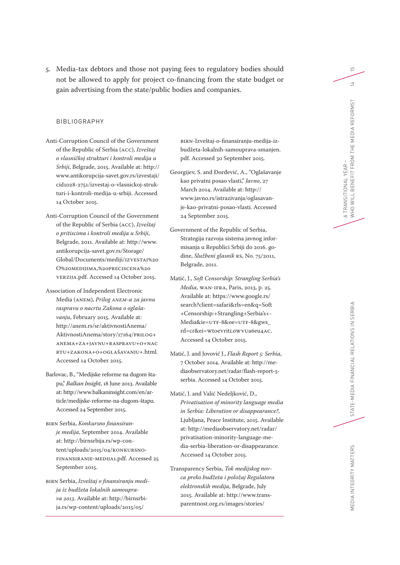5. Media-tax debtors and those not paying fees to regulatory bodies should not be allowed to apply for project co-financing from the state budget or gain advertising from the state/public bodies and companies.

#### BIBLIOGRAPHY

- Anti-Corruption Council of the Government of the Republic of Serbia (ACC), *Izveštaj o vlasničkoj strukturi i kontroli medija u Srbiji*, Belgrade, 2015. Available at: http:// www.antikorupcija-savet.gov.rs/izvestaji/ cid1028-2751/izvestaj-o-vlasnickoj-struk turi-i-kontroli-medija-u-srbiji. Accessed 14 October 2015.
- Anti-Corruption Council of the Government of the Republic of Serbia (ACC), *Izveštaj o pritiscima i kontroli medija u Srbiji*, Belgrade, 2011. Available at: http://www. antikorupcija-savet.gov.rs/Storage/ Global/Documents/mediji/IZVESTAJ%20 O%20MEDIJIMA,%20PRECISCENA%20 VERZIJA.pdf. Accessed 14 October 2015.
- Association of Independent Electronic Media (ANEM), *Prilog ANEM-a za javnu raspravu o nacrtu Zakona o oglaša vanju*, February 2015. Available at: http://anem.rs/sr/aktivnostiAnema/ AktivnostiAnema/story/17164/PRILOG+ ANEMA+ZA+JAVNU+RASPRAVU+O+NAC RTU+ZAKONA+O+OGLAŠAVANJU+.html. Accessed 14 October 2015.
- Barlovac, B., "Medijske reforme na dugom šta pu," *Balkan Insight*, 18 June 2013. Available at: http://www.balkaninsight.com/en/ar ticle/medijske-reforme-na-dugom-štapu. Accessed 24 September 2015.
- BIRN Serbia, *Konkursno finansiran je medija*, September 2014. Available at: http://birnsrbija.rs/wp-con tent/uploads/2015/04/KONKURSNO-FINANSIRANJE-MEDIJA1.pdf. Accessed 25 September 2015.
- BIRN Serbia, *Izveštaj o finansiranju medi ja iz budžeta lokalnih samoupra va 2013*. Available at: http://birnsrbi ja.rs/wp-content/uploads/2015/05/

BIRN-Izveštaj-o-finansiranju-medija-izbudžeta-lokalnih-samouprava-smanjen. pdf. Accessed 30 September 2015.

- Georgijev, S. and Đorđević, A., "Oglašavanje kao privatni posao vlasti," *Javno*, 27 March 2014. Available at: http:// www.javno.rs/istrazivanja/oglasavan je-kao-privatni-posao-vlasti. Accessed 24 September 2015.
- Government of the Republic of Serbia, Strategija razvoja sistema javnog infor misanja u Republici Srbiji do 2016. go dine, *Slu žbeni glasnik* RS, No. 75/2011, Belgrade, 2011.
- Matić, J., *Soft Censorship: Strangling Serbia's Media*, WAN-IFRA, Paris, 2013, p. 25. Available at: https://www.google.rs/ search?client=safari&rls=en&q=Soft +Censorship:+Strangling+Serbia's+ - Media&ie=UTF-8&oe=UTF-8&gws\_ rd=cr&ei= Wt0e Vrit L oWVUa6eu4AC. Accessed 14 October 2015.
- Matić, J. and Jovović J., *Flash Report 5: Serbia*, 7 October 2014. Available at: http://me diaobservatory.net/radar/flash-report-5 serbia. Accessed 14 October 2015.
- Matić, J. and Valić Nedeljković, D., *Privatisation of minority language media in Serbia: Liberation or disappearance?*, Ljubljana, Peace Institute, 2015. Available at: http://mediaobservatory.net/radar/ privatisation-minority-language-me dia-serbia-liberation-or-disappearance. Accessed 14 October 2015.
- Transparency Serbia, *Tok medijskog nov ca preko budžeta i položaj Regulatora elektronskih medija*, Belgrade, July 2015. Available at: http://www.trans parentnost.org.rs/images/stories/